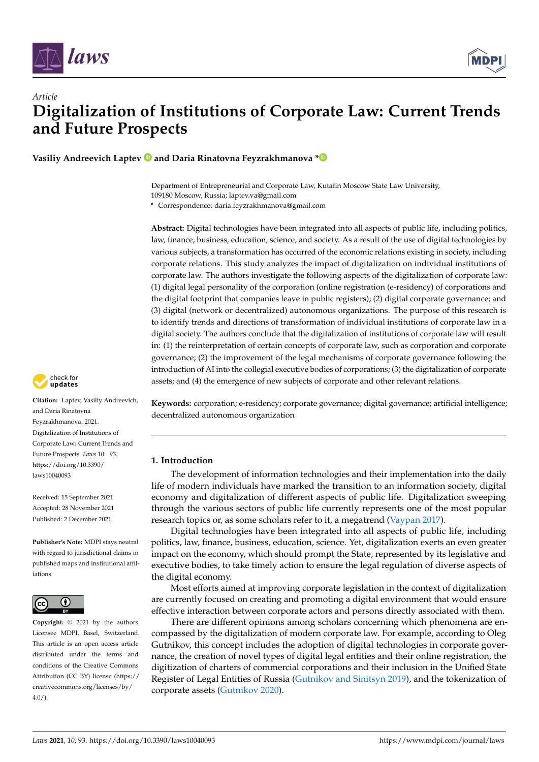



**Vasiliy Andreevich Laptev and Daria Rinatovna Feyzrakhmanova [\\*](https://orcid.org/0000-0002-9254-4464)**

Department of Entrepreneurial and Corporate Law, Kutafin Moscow State Law University, 109180 Moscow, Russia; laptev.va@gmail.com

**\*** Correspondence: daria.feyzrakhmanova@gmail.com

**Abstract:** Digital technologies have been integrated into all aspects of public life, including politics, law, finance, business, education, science, and society. As a result of the use of digital technologies by various subjects, a transformation has occurred of the economic relations existing in society, including corporate relations. This study analyzes the impact of digitalization on individual institutions of corporate law. The authors investigate the following aspects of the digitalization of corporate law: (1) digital legal personality of the corporation (online registration (e-residency) of corporations and the digital footprint that companies leave in public registers); (2) digital corporate governance; and (3) digital (network or decentralized) autonomous organizations. The purpose of this research is to identify trends and directions of transformation of individual institutions of corporate law in a digital society. The authors conclude that the digitalization of institutions of corporate law will result in: (1) the reinterpretation of certain concepts of corporate law, such as corporation and corporate governance; (2) the improvement of the legal mechanisms of corporate governance following the introduction of AI into the collegial executive bodies of corporations; (3) the digitalization of corporate assets; and (4) the emergence of new subjects of corporate and other relevant relations.



**Citation:** Laptev, Vasiliy Andreevich, and Daria Rinatovna Feyzrakhmanova. 2021. Digitalization of Institutions of Corporate Law: Current Trends and Future Prospects. *Laws* 10: 93. [https://doi.org/10.3390/](https://doi.org/10.3390/laws10040093) [laws10040093](https://doi.org/10.3390/laws10040093)

Received: 15 September 2021 Accepted: 28 November 2021 Published: 2 December 2021

**Publisher's Note:** MDPI stays neutral with regard to jurisdictional claims in published maps and institutional affiliations.



**Copyright:** © 2021 by the authors. Licensee MDPI, Basel, Switzerland. This article is an open access article distributed under the terms and conditions of the Creative Commons Attribution (CC BY) license (https:/[/](https://creativecommons.org/licenses/by/4.0/) [creativecommons.org/licenses/by/](https://creativecommons.org/licenses/by/4.0/)  $4.0/$ ).

**Keywords:** corporation; e-residency; corporate governance; digital governance; artificial intelligence; decentralized autonomous organization

# **1. Introduction**

The development of information technologies and their implementation into the daily life of modern individuals have marked the transition to an information society, digital economy and digitalization of different aspects of public life. Digitalization sweeping through the various sectors of public life currently represents one of the most popular research topics or, as some scholars refer to it, a megatrend [\(Vaypan](#page-18-0) [2017\)](#page-18-0).

Digital technologies have been integrated into all aspects of public life, including politics, law, finance, business, education, science. Yet, digitalization exerts an even greater impact on the economy, which should prompt the State, represented by its legislative and executive bodies, to take timely action to ensure the legal regulation of diverse aspects of the digital economy.

Most efforts aimed at improving corporate legislation in the context of digitalization are currently focused on creating and promoting a digital environment that would ensure effective interaction between corporate actors and persons directly associated with them.

There are different opinions among scholars concerning which phenomena are encompassed by the digitalization of modern corporate law. For example, according to Oleg Gutnikov, this concept includes the adoption of digital technologies in corporate governance, the creation of novel types of digital legal entities and their online registration, the digitization of charters of commercial corporations and their inclusion in the Unified State Register of Legal Entities of Russia [\(Gutnikov and Sinitsyn](#page-17-0) [2019\)](#page-17-0), and the tokenization of corporate assets [\(Gutnikov](#page-17-1) [2020\)](#page-17-1).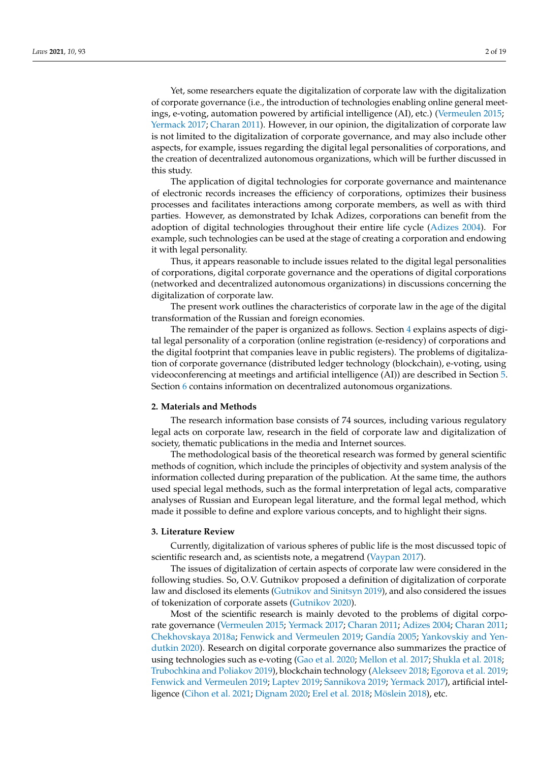Yet, some researchers equate the digitalization of corporate law with the digitalization of corporate governance (i.e., the introduction of technologies enabling online general meetings, e-voting, automation powered by artificial intelligence (AI), etc.) [\(Vermeulen](#page-18-1) [2015;](#page-18-1) [Yermack](#page-18-2) [2017;](#page-18-2) [Charan](#page-16-0) [2011\)](#page-16-0). However, in our opinion, the digitalization of corporate law is not limited to the digitalization of corporate governance, and may also include other aspects, for example, issues regarding the digital legal personalities of corporations, and the creation of decentralized autonomous organizations, which will be further discussed in this study.

The application of digital technologies for corporate governance and maintenance of electronic records increases the efficiency of corporations, optimizes their business processes and facilitates interactions among corporate members, as well as with third parties. However, as demonstrated by Ichak Adizes, corporations can benefit from the adoption of digital technologies throughout their entire life cycle [\(Adizes](#page-16-1) [2004\)](#page-16-1). For example, such technologies can be used at the stage of creating a corporation and endowing it with legal personality.

Thus, it appears reasonable to include issues related to the digital legal personalities of corporations, digital corporate governance and the operations of digital corporations (networked and decentralized autonomous organizations) in discussions concerning the digitalization of corporate law.

The present work outlines the characteristics of corporate law in the age of the digital transformation of the Russian and foreign economies.

The remainder of the paper is organized as follows. Section [4](#page-2-0) explains aspects of digital legal personality of a corporation (online registration (e-residency) of corporations and the digital footprint that companies leave in public registers). The problems of digitalization of corporate governance (distributed ledger technology (blockchain), e-voting, using videoconferencing at meetings and artificial intelligence (AI)) are described in Section [5.](#page-4-0) Section [6](#page-13-0) contains information on decentralized autonomous organizations.

### **2. Materials and Methods**

The research information base consists of 74 sources, including various regulatory legal acts on corporate law, research in the field of corporate law and digitalization of society, thematic publications in the media and Internet sources.

The methodological basis of the theoretical research was formed by general scientific methods of cognition, which include the principles of objectivity and system analysis of the information collected during preparation of the publication. At the same time, the authors used special legal methods, such as the formal interpretation of legal acts, comparative analyses of Russian and European legal literature, and the formal legal method, which made it possible to define and explore various concepts, and to highlight their signs.

### **3. Literature Review**

Currently, digitalization of various spheres of public life is the most discussed topic of scientific research and, as scientists note, a megatrend [\(Vaypan](#page-18-0) [2017\)](#page-18-0).

The issues of digitalization of certain aspects of corporate law were considered in the following studies. So, O.V. Gutnikov proposed a definition of digitalization of corporate law and disclosed its elements [\(Gutnikov and Sinitsyn](#page-17-0) [2019\)](#page-17-0), and also considered the issues of tokenization of corporate assets [\(Gutnikov](#page-17-1) [2020\)](#page-17-1).

Most of the scientific research is mainly devoted to the problems of digital corporate governance [\(Vermeulen](#page-18-1) [2015;](#page-18-1) [Yermack](#page-18-2) [2017;](#page-18-2) [Charan](#page-16-0) [2011;](#page-16-0) [Adizes](#page-16-1) [2004;](#page-16-1) [Charan](#page-16-0) [2011;](#page-16-0) [Chekhovskaya](#page-16-2) [2018a;](#page-16-2) [Fenwick and Vermeulen](#page-17-2) [2019;](#page-17-2) [Gand](#page-17-3)ía [2005;](#page-17-3) [Yankovskiy and Yen](#page-18-3)[dutkin](#page-18-3) [2020\)](#page-18-3). Research on digital corporate governance also summarizes the practice of using technologies such as e-voting [\(Gao et al.](#page-17-4) [2020;](#page-17-4) [Mellon et al.](#page-18-4) [2017;](#page-18-4) [Shukla et al.](#page-18-5) [2018;](#page-18-5) [Trubochkina and Poliakov](#page-18-6) [2019\)](#page-18-6), blockchain technology [\(Alekseev](#page-16-3) [2018;](#page-16-3) [Egorova et al.](#page-17-5) [2019;](#page-17-5) [Fenwick and Vermeulen](#page-17-2) [2019;](#page-17-2) [Laptev](#page-17-6) [2019;](#page-17-6) [Sannikova](#page-18-7) [2019;](#page-18-7) [Yermack](#page-18-2) [2017\)](#page-18-2), artificial intelligence [\(Cihon et al.](#page-16-4) [2021;](#page-16-4) [Dignam](#page-17-7) [2020;](#page-17-7) [Erel et al.](#page-17-8) [2018;](#page-17-8) [Möslein](#page-18-8) [2018\)](#page-18-8), etc.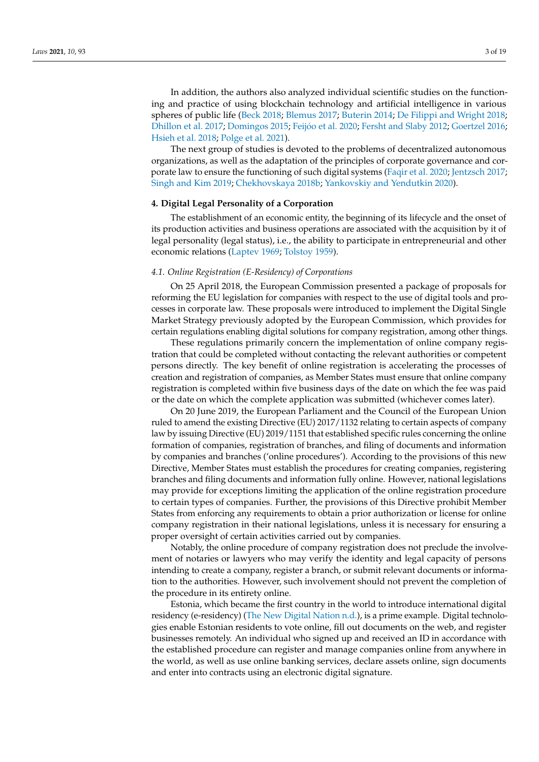In addition, the authors also analyzed individual scientific studies on the functioning and practice of using blockchain technology and artificial intelligence in various spheres of public life [\(Beck](#page-16-5) [2018;](#page-16-5) [Blemus](#page-16-6) [2017;](#page-16-6) [Buterin](#page-16-7) [2014;](#page-16-7) [De Filippi and Wright](#page-16-8) [2018;](#page-16-8) [Dhillon et al.](#page-17-9) [2017;](#page-17-9) [Domingos](#page-17-10) [2015;](#page-17-10) Feijó[o et al.](#page-17-11) [2020;](#page-17-11) [Fersht and Slaby](#page-17-12) [2012;](#page-17-12) [Goertzel](#page-17-13) [2016;](#page-17-13) [Hsieh et al.](#page-17-14) [2018;](#page-17-14) [Polge et al.](#page-18-9) [2021\)](#page-18-9).

The next group of studies is devoted to the problems of decentralized autonomous organizations, as well as the adaptation of the principles of corporate governance and corporate law to ensure the functioning of such digital systems [\(Faqir et al.](#page-17-15) [2020;](#page-17-15) [Jentzsch](#page-17-16) [2017;](#page-17-16) [Singh and Kim](#page-18-10) [2019;](#page-18-10) [Chekhovskaya](#page-16-9) [2018b;](#page-16-9) [Yankovskiy and Yendutkin](#page-18-3) [2020\)](#page-18-3).

# <span id="page-2-0"></span>**4. Digital Legal Personality of a Corporation**

The establishment of an economic entity, the beginning of its lifecycle and the onset of its production activities and business operations are associated with the acquisition by it of legal personality (legal status), i.e., the ability to participate in entrepreneurial and other economic relations [\(Laptev](#page-17-17) [1969;](#page-17-17) [Tolstoy](#page-18-11) [1959\)](#page-18-11).

## *4.1. Online Registration (E-Residency) of Corporations*

On 25 April 2018, the European Commission presented a package of proposals for reforming the EU legislation for companies with respect to the use of digital tools and processes in corporate law. These proposals were introduced to implement the Digital Single Market Strategy previously adopted by the European Commission, which provides for certain regulations enabling digital solutions for company registration, among other things.

These regulations primarily concern the implementation of online company registration that could be completed without contacting the relevant authorities or competent persons directly. The key benefit of online registration is accelerating the processes of creation and registration of companies, as Member States must ensure that online company registration is completed within five business days of the date on which the fee was paid or the date on which the complete application was submitted (whichever comes later).

On 20 June 2019, the European Parliament and the Council of the European Union ruled to amend the existing Directive (EU) 2017/1132 relating to certain aspects of company law by issuing Directive (EU) 2019/1151 that established specific rules concerning the online formation of companies, registration of branches, and filing of documents and information by companies and branches ('online procedures'). According to the provisions of this new Directive, Member States must establish the procedures for creating companies, registering branches and filing documents and information fully online. However, national legislations may provide for exceptions limiting the application of the online registration procedure to certain types of companies. Further, the provisions of this Directive prohibit Member States from enforcing any requirements to obtain a prior authorization or license for online company registration in their national legislations, unless it is necessary for ensuring a proper oversight of certain activities carried out by companies.

Notably, the online procedure of company registration does not preclude the involvement of notaries or lawyers who may verify the identity and legal capacity of persons intending to create a company, register a branch, or submit relevant documents or information to the authorities. However, such involvement should not prevent the completion of the procedure in its entirety online.

Estonia, which became the first country in the world to introduce international digital residency (e-residency) [\(The New Digital Nation](#page-18-12) [n.d.\)](#page-18-12), is a prime example. Digital technologies enable Estonian residents to vote online, fill out documents on the web, and register businesses remotely. An individual who signed up and received an ID in accordance with the established procedure can register and manage companies online from anywhere in the world, as well as use online banking services, declare assets online, sign documents and enter into contracts using an electronic digital signature.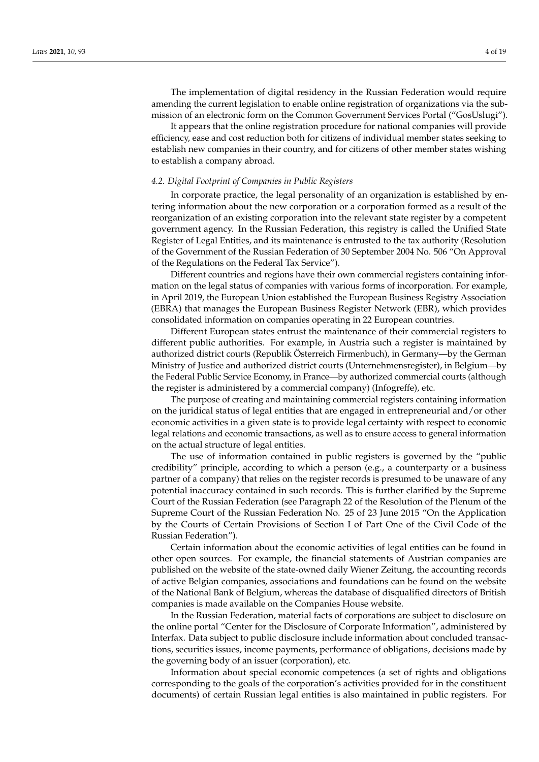The implementation of digital residency in the Russian Federation would require amending the current legislation to enable online registration of organizations via the submission of an electronic form on the Common Government Services Portal ("GosUslugi").

It appears that the online registration procedure for national companies will provide efficiency, ease and cost reduction both for citizens of individual member states seeking to establish new companies in their country, and for citizens of other member states wishing to establish a company abroad.

### *4.2. Digital Footprint of Companies in Public Registers*

In corporate practice, the legal personality of an organization is established by entering information about the new corporation or a corporation formed as a result of the reorganization of an existing corporation into the relevant state register by a competent government agency. In the Russian Federation, this registry is called the Unified State Register of Legal Entities, and its maintenance is entrusted to the tax authority (Resolution of the Government of the Russian Federation of 30 September 2004 No. 506 "On Approval of the Regulations on the Federal Tax Service").

Different countries and regions have their own commercial registers containing information on the legal status of companies with various forms of incorporation. For example, in April 2019, the European Union established the European Business Registry Association (EBRA) that manages the European Business Register Network (EBR), which provides consolidated information on companies operating in 22 European countries.

Different European states entrust the maintenance of their commercial registers to different public authorities. For example, in Austria such a register is maintained by authorized district courts (Republik Österreich Firmenbuch), in Germany—by the German Ministry of Justice and authorized district courts (Unternehmensregister), in Belgium—by the Federal Public Service Economy, in France—by authorized commercial courts (although the register is administered by a commercial company) (Infogreffe), etc.

The purpose of creating and maintaining commercial registers containing information on the juridical status of legal entities that are engaged in entrepreneurial and/or other economic activities in a given state is to provide legal certainty with respect to economic legal relations and economic transactions, as well as to ensure access to general information on the actual structure of legal entities.

The use of information contained in public registers is governed by the "public credibility" principle, according to which a person (e.g., a counterparty or a business partner of a company) that relies on the register records is presumed to be unaware of any potential inaccuracy contained in such records. This is further clarified by the Supreme Court of the Russian Federation (see Paragraph 22 of the Resolution of the Plenum of the Supreme Court of the Russian Federation No. 25 of 23 June 2015 "On the Application by the Courts of Certain Provisions of Section I of Part One of the Civil Code of the Russian Federation").

Certain information about the economic activities of legal entities can be found in other open sources. For example, the financial statements of Austrian companies are published on the website of the state-owned daily Wiener Zeitung, the accounting records of active Belgian companies, associations and foundations can be found on the website of the National Bank of Belgium, whereas the database of disqualified directors of British companies is made available on the Companies House website.

In the Russian Federation, material facts of corporations are subject to disclosure on the online portal "Center for the Disclosure of Corporate Information", administered by Interfax. Data subject to public disclosure include information about concluded transactions, securities issues, income payments, performance of obligations, decisions made by the governing body of an issuer (corporation), etc.

Information about special economic competences (a set of rights and obligations corresponding to the goals of the corporation's activities provided for in the constituent documents) of certain Russian legal entities is also maintained in public registers. For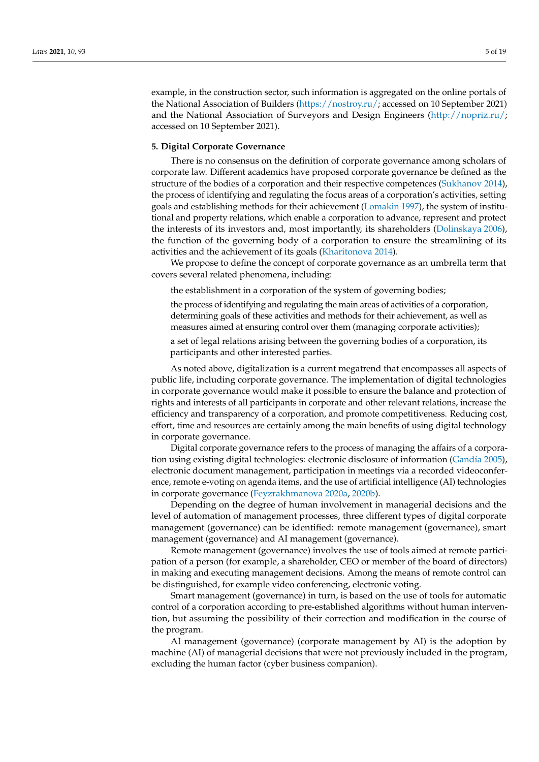example, in the construction sector, such information is aggregated on the online portals of the National Association of Builders [\(https://nostroy.ru/;](https://nostroy.ru/) accessed on 10 September 2021) and the National Association of Surveyors and Design Engineers [\(http://nopriz.ru/;](http://nopriz.ru/) accessed on 10 September 2021).

### <span id="page-4-0"></span>**5. Digital Corporate Governance**

There is no consensus on the definition of corporate governance among scholars of corporate law. Different academics have proposed corporate governance be defined as the structure of the bodies of a corporation and their respective competences [\(Sukhanov](#page-18-13) [2014\)](#page-18-13), the process of identifying and regulating the focus areas of a corporation's activities, setting goals and establishing methods for their achievement [\(Lomakin](#page-18-14) [1997\)](#page-18-14), the system of institutional and property relations, which enable a corporation to advance, represent and protect the interests of its investors and, most importantly, its shareholders [\(Dolinskaya](#page-17-18) [2006\)](#page-17-18), the function of the governing body of a corporation to ensure the streamlining of its activities and the achievement of its goals [\(Kharitonova](#page-17-19) [2014\)](#page-17-19).

We propose to define the concept of corporate governance as an umbrella term that covers several related phenomena, including:

the establishment in a corporation of the system of governing bodies;

the process of identifying and regulating the main areas of activities of a corporation, determining goals of these activities and methods for their achievement, as well as measures aimed at ensuring control over them (managing corporate activities);

a set of legal relations arising between the governing bodies of a corporation, its participants and other interested parties.

As noted above, digitalization is a current megatrend that encompasses all aspects of public life, including corporate governance. The implementation of digital technologies in corporate governance would make it possible to ensure the balance and protection of rights and interests of all participants in corporate and other relevant relations, increase the efficiency and transparency of a corporation, and promote competitiveness. Reducing cost, effort, time and resources are certainly among the main benefits of using digital technology in corporate governance.

Digital corporate governance refers to the process of managing the affairs of a corporation using existing digital technologies: electronic disclosure of information [\(Gand](#page-17-3)ía [2005\)](#page-17-3), electronic document management, participation in meetings via a recorded videoconference, remote e-voting on agenda items, and the use of artificial intelligence (AI) technologies in corporate governance [\(Feyzrakhmanova](#page-17-20) [2020a,](#page-17-20) [2020b\)](#page-17-21).

Depending on the degree of human involvement in managerial decisions and the level of automation of management processes, three different types of digital corporate management (governance) can be identified: remote management (governance), smart management (governance) and AI management (governance).

Remote management (governance) involves the use of tools aimed at remote participation of a person (for example, a shareholder, CEO or member of the board of directors) in making and executing management decisions. Among the means of remote control can be distinguished, for example video conferencing, electronic voting.

Smart management (governance) in turn, is based on the use of tools for automatic control of a corporation according to pre-established algorithms without human intervention, but assuming the possibility of their correction and modification in the course of the program.

AI management (governance) (corporate management by AI) is the adoption by machine (AI) of managerial decisions that were not previously included in the program, excluding the human factor (cyber business companion).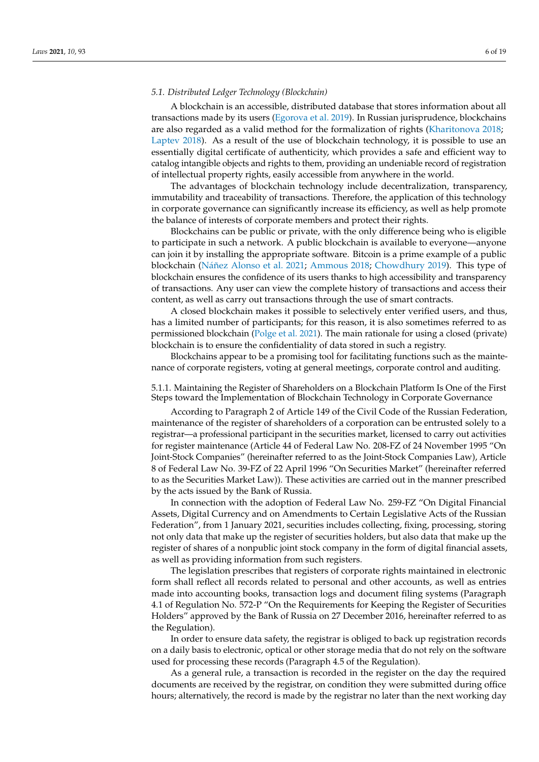## *5.1. Distributed Ledger Technology (Blockchain)*

A blockchain is an accessible, distributed database that stores information about all transactions made by its users [\(Egorova et al.](#page-17-5) [2019\)](#page-17-5). In Russian jurisprudence, blockchains are also regarded as a valid method for the formalization of rights [\(Kharitonova](#page-17-22) [2018;](#page-17-22) [Laptev](#page-17-23) [2018\)](#page-17-23). As a result of the use of blockchain technology, it is possible to use an essentially digital certificate of authenticity, which provides a safe and efficient way to catalog intangible objects and rights to them, providing an undeniable record of registration of intellectual property rights, easily accessible from anywhere in the world.

The advantages of blockchain technology include decentralization, transparency, immutability and traceability of transactions. Therefore, the application of this technology in corporate governance can significantly increase its efficiency, as well as help promote the balance of interests of corporate members and protect their rights.

Blockchains can be public or private, with the only difference being who is eligible to participate in such a network. A public blockchain is available to everyone—anyone can join it by installing the appropriate software. Bitcoin is a prime example of a public blockchain (Ná[ñez Alonso et al.](#page-18-15) [2021;](#page-18-15) [Ammous](#page-16-10) [2018;](#page-16-10) [Chowdhury](#page-16-11) [2019\)](#page-16-11). This type of blockchain ensures the confidence of its users thanks to high accessibility and transparency of transactions. Any user can view the complete history of transactions and access their content, as well as carry out transactions through the use of smart contracts.

A closed blockchain makes it possible to selectively enter verified users, and thus, has a limited number of participants; for this reason, it is also sometimes referred to as permissioned blockchain [\(Polge et al.](#page-18-9) [2021\)](#page-18-9). The main rationale for using a closed (private) blockchain is to ensure the confidentiality of data stored in such a registry.

Blockchains appear to be a promising tool for facilitating functions such as the maintenance of corporate registers, voting at general meetings, corporate control and auditing.

5.1.1. Maintaining the Register of Shareholders on a Blockchain Platform Is One of the First Steps toward the Implementation of Blockchain Technology in Corporate Governance

According to Paragraph 2 of Article 149 of the Civil Code of the Russian Federation, maintenance of the register of shareholders of a corporation can be entrusted solely to a registrar—a professional participant in the securities market, licensed to carry out activities for register maintenance (Article 44 of Federal Law No. 208-FZ of 24 November 1995 "On Joint-Stock Companies" (hereinafter referred to as the Joint-Stock Companies Law), Article 8 of Federal Law No. 39-FZ of 22 April 1996 "On Securities Market" (hereinafter referred to as the Securities Market Law)). These activities are carried out in the manner prescribed by the acts issued by the Bank of Russia.

In connection with the adoption of Federal Law No. 259-FZ "On Digital Financial Assets, Digital Currency and on Amendments to Certain Legislative Acts of the Russian Federation", from 1 January 2021, securities includes collecting, fixing, processing, storing not only data that make up the register of securities holders, but also data that make up the register of shares of a nonpublic joint stock company in the form of digital financial assets, as well as providing information from such registers.

The legislation prescribes that registers of corporate rights maintained in electronic form shall reflect all records related to personal and other accounts, as well as entries made into accounting books, transaction logs and document filing systems (Paragraph 4.1 of Regulation No. 572-P "On the Requirements for Keeping the Register of Securities Holders" approved by the Bank of Russia on 27 December 2016, hereinafter referred to as the Regulation).

In order to ensure data safety, the registrar is obliged to back up registration records on a daily basis to electronic, optical or other storage media that do not rely on the software used for processing these records (Paragraph 4.5 of the Regulation).

As a general rule, a transaction is recorded in the register on the day the required documents are received by the registrar, on condition they were submitted during office hours; alternatively, the record is made by the registrar no later than the next working day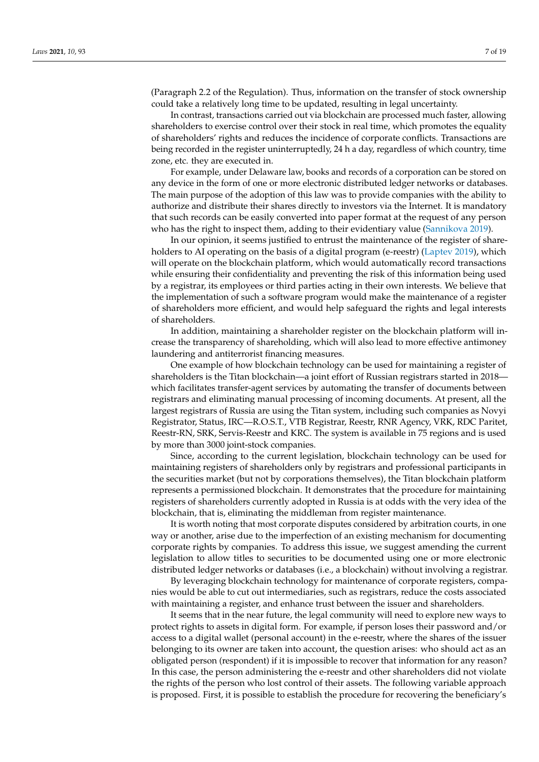(Paragraph 2.2 of the Regulation). Thus, information on the transfer of stock ownership could take a relatively long time to be updated, resulting in legal uncertainty.

In contrast, transactions carried out via blockchain are processed much faster, allowing shareholders to exercise control over their stock in real time, which promotes the equality of shareholders' rights and reduces the incidence of corporate conflicts. Transactions are being recorded in the register uninterruptedly, 24 h a day, regardless of which country, time zone, etc. they are executed in.

For example, under Delaware law, books and records of a corporation can be stored on any device in the form of one or more electronic distributed ledger networks or databases. The main purpose of the adoption of this law was to provide companies with the ability to authorize and distribute their shares directly to investors via the Internet. It is mandatory that such records can be easily converted into paper format at the request of any person who has the right to inspect them, adding to their evidentiary value [\(Sannikova](#page-18-7) [2019\)](#page-18-7).

In our opinion, it seems justified to entrust the maintenance of the register of share-holders to AI operating on the basis of a digital program (e-reestr) [\(Laptev](#page-17-6) [2019\)](#page-17-6), which will operate on the blockchain platform, which would automatically record transactions while ensuring their confidentiality and preventing the risk of this information being used by a registrar, its employees or third parties acting in their own interests. We believe that the implementation of such a software program would make the maintenance of a register of shareholders more efficient, and would help safeguard the rights and legal interests of shareholders.

In addition, maintaining a shareholder register on the blockchain platform will increase the transparency of shareholding, which will also lead to more effective antimoney laundering and antiterrorist financing measures.

One example of how blockchain technology can be used for maintaining a register of shareholders is the Titan blockchain—a joint effort of Russian registrars started in 2018 which facilitates transfer-agent services by automating the transfer of documents between registrars and eliminating manual processing of incoming documents. At present, all the largest registrars of Russia are using the Titan system, including such companies as Novyi Registrator, Status, IRC—R.O.S.T., VTB Registrar, Reestr, RNR Agency, VRK, RDC Paritet, Reestr-RN, SRK, Servis-Reestr and KRC. The system is available in 75 regions and is used by more than 3000 joint-stock companies.

Since, according to the current legislation, blockchain technology can be used for maintaining registers of shareholders only by registrars and professional participants in the securities market (but not by corporations themselves), the Titan blockchain platform represents a permissioned blockchain. It demonstrates that the procedure for maintaining registers of shareholders currently adopted in Russia is at odds with the very idea of the blockchain, that is, eliminating the middleman from register maintenance.

It is worth noting that most corporate disputes considered by arbitration courts, in one way or another, arise due to the imperfection of an existing mechanism for documenting corporate rights by companies. To address this issue, we suggest amending the current legislation to allow titles to securities to be documented using one or more electronic distributed ledger networks or databases (i.e., a blockchain) without involving a registrar.

By leveraging blockchain technology for maintenance of corporate registers, companies would be able to cut out intermediaries, such as registrars, reduce the costs associated with maintaining a register, and enhance trust between the issuer and shareholders.

It seems that in the near future, the legal community will need to explore new ways to protect rights to assets in digital form. For example, if person loses their password and/or access to a digital wallet (personal account) in the e-reestr, where the shares of the issuer belonging to its owner are taken into account, the question arises: who should act as an obligated person (respondent) if it is impossible to recover that information for any reason? In this case, the person administering the e-reestr and other shareholders did not violate the rights of the person who lost control of their assets. The following variable approach is proposed. First, it is possible to establish the procedure for recovering the beneficiary's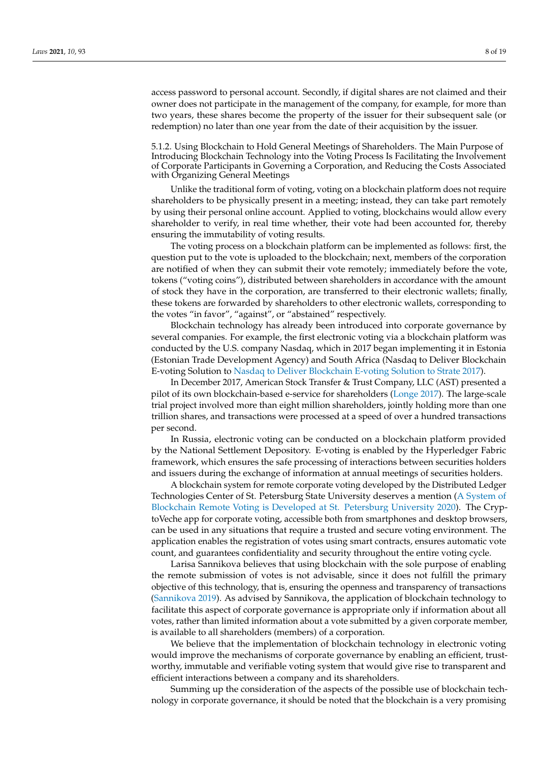access password to personal account. Secondly, if digital shares are not claimed and their owner does not participate in the management of the company, for example, for more than two years, these shares become the property of the issuer for their subsequent sale (or redemption) no later than one year from the date of their acquisition by the issuer.

5.1.2. Using Blockchain to Hold General Meetings of Shareholders. The Main Purpose of Introducing Blockchain Technology into the Voting Process Is Facilitating the Involvement of Corporate Participants in Governing a Corporation, and Reducing the Costs Associated with Organizing General Meetings

Unlike the traditional form of voting, voting on a blockchain platform does not require shareholders to be physically present in a meeting; instead, they can take part remotely by using their personal online account. Applied to voting, blockchains would allow every shareholder to verify, in real time whether, their vote had been accounted for, thereby ensuring the immutability of voting results.

The voting process on a blockchain platform can be implemented as follows: first, the question put to the vote is uploaded to the blockchain; next, members of the corporation are notified of when they can submit their vote remotely; immediately before the vote, tokens ("voting coins"), distributed between shareholders in accordance with the amount of stock they have in the corporation, are transferred to their electronic wallets; finally, these tokens are forwarded by shareholders to other electronic wallets, corresponding to the votes "in favor", "against", or "abstained" respectively.

Blockchain technology has already been introduced into corporate governance by several companies. For example, the first electronic voting via a blockchain platform was conducted by the U.S. company Nasdaq, which in 2017 began implementing it in Estonia (Estonian Trade Development Agency) and South Africa (Nasdaq to Deliver Blockchain E-voting Solution to [Nasdaq to Deliver Blockchain E-voting Solution to Strate](#page-18-16) [2017\)](#page-18-16).

In December 2017, American Stock Transfer & Trust Company, LLC (AST) presented a pilot of its own blockchain-based e-service for shareholders [\(Longe](#page-17-24) [2017\)](#page-17-24). The large-scale trial project involved more than eight million shareholders, jointly holding more than one trillion shares, and transactions were processed at a speed of over a hundred transactions per second.

In Russia, electronic voting can be conducted on a blockchain platform provided by the National Settlement Depository. E-voting is enabled by the Hyperledger Fabric framework, which ensures the safe processing of interactions between securities holders and issuers during the exchange of information at annual meetings of securities holders.

A blockchain system for remote corporate voting developed by the Distributed Ledger Technologies Center of St. Petersburg State University deserves a mention [\(A System of](#page-16-12) [Blockchain Remote Voting is Developed at St. Petersburg University](#page-16-12) [2020\)](#page-16-12). The CryptoVeche app for corporate voting, accessible both from smartphones and desktop browsers, can be used in any situations that require a trusted and secure voting environment. The application enables the registration of votes using smart contracts, ensures automatic vote count, and guarantees confidentiality and security throughout the entire voting cycle.

Larisa Sannikova believes that using blockchain with the sole purpose of enabling the remote submission of votes is not advisable, since it does not fulfill the primary objective of this technology, that is, ensuring the openness and transparency of transactions [\(Sannikova](#page-18-7) [2019\)](#page-18-7). As advised by Sannikova, the application of blockchain technology to facilitate this aspect of corporate governance is appropriate only if information about all votes, rather than limited information about a vote submitted by a given corporate member, is available to all shareholders (members) of a corporation.

We believe that the implementation of blockchain technology in electronic voting would improve the mechanisms of corporate governance by enabling an efficient, trustworthy, immutable and verifiable voting system that would give rise to transparent and efficient interactions between a company and its shareholders.

Summing up the consideration of the aspects of the possible use of blockchain technology in corporate governance, it should be noted that the blockchain is a very promising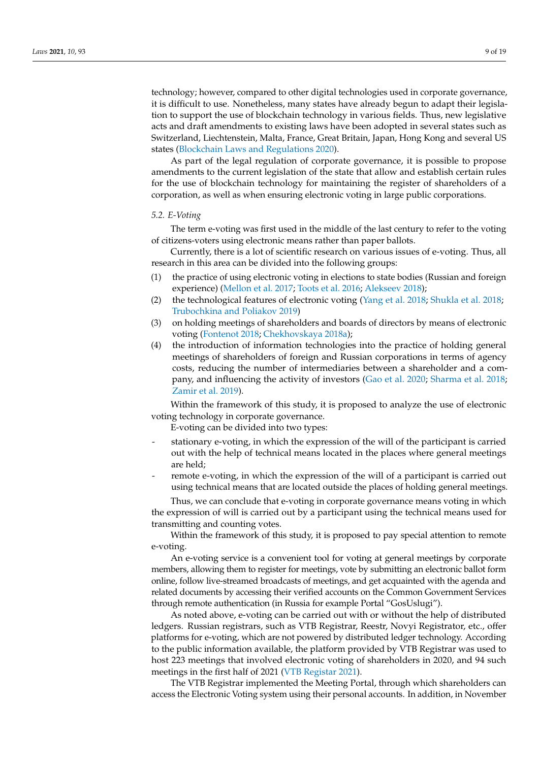technology; however, compared to other digital technologies used in corporate governance, it is difficult to use. Nonetheless, many states have already begun to adapt their legislation to support the use of blockchain technology in various fields. Thus, new legislative acts and draft amendments to existing laws have been adopted in several states such as Switzerland, Liechtenstein, Malta, France, Great Britain, Japan, Hong Kong and several US states [\(Blockchain Laws and Regulations](#page-16-13) [2020\)](#page-16-13).

As part of the legal regulation of corporate governance, it is possible to propose amendments to the current legislation of the state that allow and establish certain rules for the use of blockchain technology for maintaining the register of shareholders of a corporation, as well as when ensuring electronic voting in large public corporations.

# *5.2. E-Voting*

The term e-voting was first used in the middle of the last century to refer to the voting of citizens-voters using electronic means rather than paper ballots.

Currently, there is a lot of scientific research on various issues of e-voting. Thus, all research in this area can be divided into the following groups:

- (1) the practice of using electronic voting in elections to state bodies (Russian and foreign experience) [\(Mellon et al.](#page-18-4) [2017;](#page-18-4) [Toots et al.](#page-18-17) [2016;](#page-18-17) [Alekseev](#page-16-3) [2018\)](#page-16-3);
- (2) the technological features of electronic voting [\(Yang et al.](#page-18-18) [2018;](#page-18-18) [Shukla et al.](#page-18-5) [2018;](#page-18-5) [Trubochkina and Poliakov](#page-18-6) [2019\)](#page-18-6)
- (3) on holding meetings of shareholders and boards of directors by means of electronic voting [\(Fontenot](#page-17-25) [2018;](#page-17-25) [Chekhovskaya](#page-16-2) [2018a\)](#page-16-2);
- (4) the introduction of information technologies into the practice of holding general meetings of shareholders of foreign and Russian corporations in terms of agency costs, reducing the number of intermediaries between a shareholder and a company, and influencing the activity of investors [\(Gao et al.](#page-17-4) [2020;](#page-17-4) [Sharma et al.](#page-18-19) [2018;](#page-18-19) [Zamir et al.](#page-18-20) [2019\)](#page-18-20).

Within the framework of this study, it is proposed to analyze the use of electronic voting technology in corporate governance.

E-voting can be divided into two types:

- stationary e-voting, in which the expression of the will of the participant is carried out with the help of technical means located in the places where general meetings are held;
- remote e-voting, in which the expression of the will of a participant is carried out using technical means that are located outside the places of holding general meetings.

Thus, we can conclude that e-voting in corporate governance means voting in which the expression of will is carried out by a participant using the technical means used for transmitting and counting votes.

Within the framework of this study, it is proposed to pay special attention to remote e-voting.

An e-voting service is a convenient tool for voting at general meetings by corporate members, allowing them to register for meetings, vote by submitting an electronic ballot form online, follow live-streamed broadcasts of meetings, and get acquainted with the agenda and related documents by accessing their verified accounts on the Common Government Services through remote authentication (in Russia for example Portal "GosUslugi").

As noted above, e-voting can be carried out with or without the help of distributed ledgers. Russian registrars, such as VTB Registrar, Reestr, Novyi Registrator, etc., offer platforms for e-voting, which are not powered by distributed ledger technology. According to the public information available, the platform provided by VTB Registrar was used to host 223 meetings that involved electronic voting of shareholders in 2020, and 94 such meetings in the first half of 2021 [\(VTB Registar](#page-18-21) [2021\)](#page-18-21).

The VTB Registrar implemented the Meeting Portal, through which shareholders can access the Electronic Voting system using their personal accounts. In addition, in November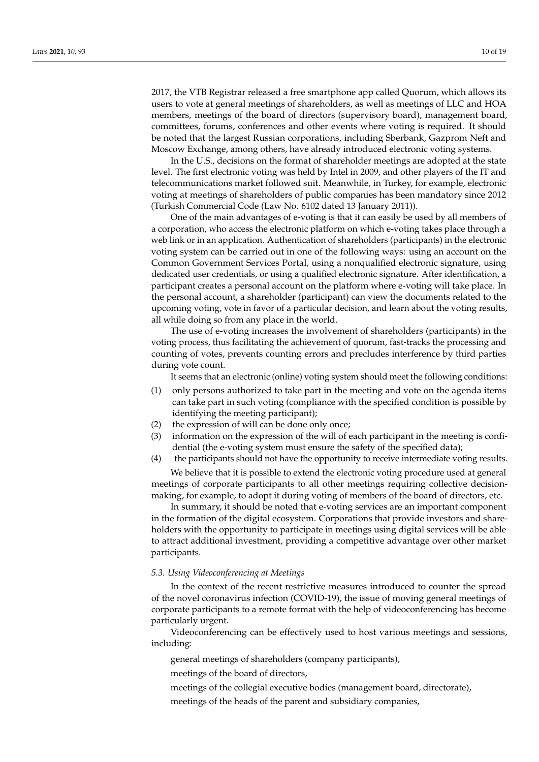2017, the VTB Registrar released a free smartphone app called Quorum, which allows its users to vote at general meetings of shareholders, as well as meetings of LLC and HOA members, meetings of the board of directors (supervisory board), management board, committees, forums, conferences and other events where voting is required. It should be noted that the largest Russian corporations, including Sberbank, Gazprom Neft and Moscow Exchange, among others, have already introduced electronic voting systems.

In the U.S., decisions on the format of shareholder meetings are adopted at the state level. The first electronic voting was held by Intel in 2009, and other players of the IT and telecommunications market followed suit. Meanwhile, in Turkey, for example, electronic voting at meetings of shareholders of public companies has been mandatory since 2012 (Turkish Commercial Code (Law No. 6102 dated 13 January 2011)).

One of the main advantages of e-voting is that it can easily be used by all members of a corporation, who access the electronic platform on which e-voting takes place through a web link or in an application. Authentication of shareholders (participants) in the electronic voting system can be carried out in one of the following ways: using an account on the Common Government Services Portal, using a nonqualified electronic signature, using dedicated user credentials, or using a qualified electronic signature. After identification, a participant creates a personal account on the platform where e-voting will take place. In the personal account, a shareholder (participant) can view the documents related to the upcoming voting, vote in favor of a particular decision, and learn about the voting results, all while doing so from any place in the world.

The use of e-voting increases the involvement of shareholders (participants) in the voting process, thus facilitating the achievement of quorum, fast-tracks the processing and counting of votes, prevents counting errors and precludes interference by third parties during vote count.

It seems that an electronic (online) voting system should meet the following conditions:

- (1) only persons authorized to take part in the meeting and vote on the agenda items can take part in such voting (compliance with the specified condition is possible by identifying the meeting participant);
- (2) the expression of will can be done only once;
- (3) information on the expression of the will of each participant in the meeting is confidential (the e-voting system must ensure the safety of the specified data);
- (4) the participants should not have the opportunity to receive intermediate voting results. We believe that it is possible to extend the electronic voting procedure used at general

meetings of corporate participants to all other meetings requiring collective decisionmaking, for example, to adopt it during voting of members of the board of directors, etc.

In summary, it should be noted that e-voting services are an important component in the formation of the digital ecosystem. Corporations that provide investors and shareholders with the opportunity to participate in meetings using digital services will be able to attract additional investment, providing a competitive advantage over other market participants.

### *5.3. Using Videoconferencing at Meetings*

In the context of the recent restrictive measures introduced to counter the spread of the novel coronavirus infection (COVID-19), the issue of moving general meetings of corporate participants to a remote format with the help of videoconferencing has become particularly urgent.

Videoconferencing can be effectively used to host various meetings and sessions, including:

general meetings of shareholders (company participants),

meetings of the board of directors,

meetings of the collegial executive bodies (management board, directorate),

meetings of the heads of the parent and subsidiary companies,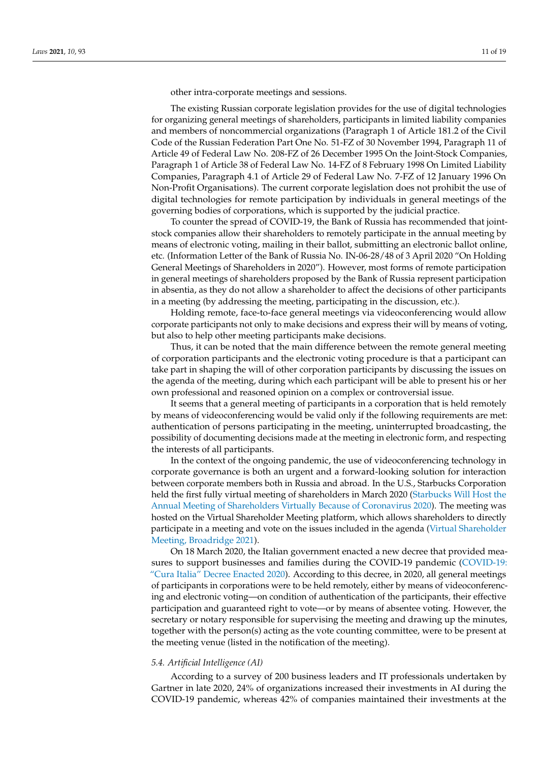other intra-corporate meetings and sessions.

The existing Russian corporate legislation provides for the use of digital technologies for organizing general meetings of shareholders, participants in limited liability companies and members of noncommercial organizations (Paragraph 1 of Article 181.2 of the Civil Code of the Russian Federation Part One No. 51-FZ of 30 November 1994, Paragraph 11 of Article 49 of Federal Law No. 208-FZ of 26 December 1995 On the Joint-Stock Companies, Paragraph 1 of Article 38 of Federal Law No. 14-FZ of 8 February 1998 On Limited Liability Companies, Paragraph 4.1 of Article 29 of Federal Law No. 7-FZ of 12 January 1996 On Non-Profit Organisations). The current corporate legislation does not prohibit the use of digital technologies for remote participation by individuals in general meetings of the governing bodies of corporations, which is supported by the judicial practice.

To counter the spread of COVID-19, the Bank of Russia has recommended that jointstock companies allow their shareholders to remotely participate in the annual meeting by means of electronic voting, mailing in their ballot, submitting an electronic ballot online, etc. (Information Letter of the Bank of Russia No. IN-06-28/48 of 3 April 2020 "On Holding General Meetings of Shareholders in 2020"). However, most forms of remote participation in general meetings of shareholders proposed by the Bank of Russia represent participation in absentia, as they do not allow a shareholder to affect the decisions of other participants in a meeting (by addressing the meeting, participating in the discussion, etc.).

Holding remote, face-to-face general meetings via videoconferencing would allow corporate participants not only to make decisions and express their will by means of voting, but also to help other meeting participants make decisions.

Thus, it can be noted that the main difference between the remote general meeting of corporation participants and the electronic voting procedure is that a participant can take part in shaping the will of other corporation participants by discussing the issues on the agenda of the meeting, during which each participant will be able to present his or her own professional and reasoned opinion on a complex or controversial issue.

It seems that a general meeting of participants in a corporation that is held remotely by means of videoconferencing would be valid only if the following requirements are met: authentication of persons participating in the meeting, uninterrupted broadcasting, the possibility of documenting decisions made at the meeting in electronic form, and respecting the interests of all participants.

In the context of the ongoing pandemic, the use of videoconferencing technology in corporate governance is both an urgent and a forward-looking solution for interaction between corporate members both in Russia and abroad. In the U.S., Starbucks Corporation held the first fully virtual meeting of shareholders in March 2020 [\(Starbucks Will Host the](#page-18-22) [Annual Meeting of Shareholders Virtually Because of Coronavirus](#page-18-22) [2020\)](#page-18-22). The meeting was hosted on the Virtual Shareholder Meeting platform, which allows shareholders to directly participate in a meeting and vote on the issues included in the agenda [\(Virtual Shareholder](#page-18-23) [Meeting, Broadridge](#page-18-23) [2021\)](#page-18-23).

On 18 March 2020, the Italian government enacted a new decree that provided mea-sures to support businesses and families during the COVID-19 pandemic [\(COVID-19:](#page-16-14) ["Cura Italia" Decree Enacted](#page-16-14) [2020\)](#page-16-14). According to this decree, in 2020, all general meetings of participants in corporations were to be held remotely, either by means of videoconferencing and electronic voting—on condition of authentication of the participants, their effective participation and guaranteed right to vote—or by means of absentee voting. However, the secretary or notary responsible for supervising the meeting and drawing up the minutes, together with the person(s) acting as the vote counting committee, were to be present at the meeting venue (listed in the notification of the meeting).

### *5.4. Artificial Intelligence (AI)*

According to a survey of 200 business leaders and IT professionals undertaken by Gartner in late 2020, 24% of organizations increased their investments in AI during the COVID-19 pandemic, whereas 42% of companies maintained their investments at the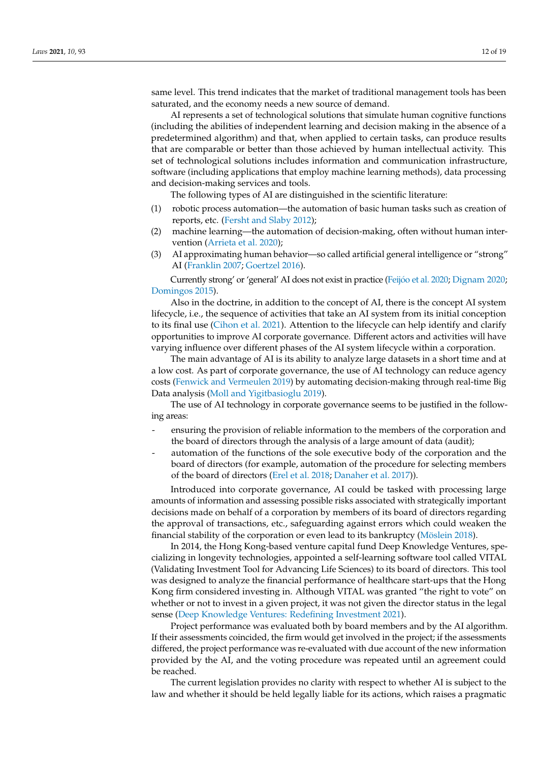same level. This trend indicates that the market of traditional management tools has been saturated, and the economy needs a new source of demand.

AI represents a set of technological solutions that simulate human cognitive functions (including the abilities of independent learning and decision making in the absence of a predetermined algorithm) and that, when applied to certain tasks, can produce results that are comparable or better than those achieved by human intellectual activity. This set of technological solutions includes information and communication infrastructure, software (including applications that employ machine learning methods), data processing and decision-making services and tools.

The following types of AI are distinguished in the scientific literature:

- (1) robotic process automation—the automation of basic human tasks such as creation of reports, etc. [\(Fersht and Slaby](#page-17-12) [2012\)](#page-17-12);
- (2) machine learning—the automation of decision-making, often without human intervention [\(Arrieta et al.](#page-16-15) [2020\)](#page-16-15);
- (3) AI approximating human behavior—so called artificial general intelligence or "strong" AI [\(Franklin](#page-17-26) [2007;](#page-17-26) [Goertzel](#page-17-13) [2016\)](#page-17-13).

Currently strong' or 'general' AI does not exist in practice (Feijó[o et al.](#page-17-11) [2020;](#page-17-11) [Dignam](#page-17-7) [2020;](#page-17-7) [Domingos](#page-17-10) [2015\)](#page-17-10).

Also in the doctrine, in addition to the concept of AI, there is the concept AI system lifecycle, i.e., the sequence of activities that take an AI system from its initial conception to its final use [\(Cihon et al.](#page-16-4) [2021\)](#page-16-4). Attention to the lifecycle can help identify and clarify opportunities to improve AI corporate governance. Different actors and activities will have varying influence over different phases of the AI system lifecycle within a corporation.

The main advantage of AI is its ability to analyze large datasets in a short time and at a low cost. As part of corporate governance, the use of AI technology can reduce agency costs [\(Fenwick and Vermeulen](#page-17-2) [2019\)](#page-17-2) by automating decision-making through real-time Big Data analysis [\(Moll and Yigitbasioglu](#page-18-24) [2019\)](#page-18-24).

The use of AI technology in corporate governance seems to be justified in the following areas:

- ensuring the provision of reliable information to the members of the corporation and the board of directors through the analysis of a large amount of data (audit);
- automation of the functions of the sole executive body of the corporation and the board of directors (for example, automation of the procedure for selecting members of the board of directors [\(Erel et al.](#page-17-8) [2018;](#page-17-8) [Danaher et al.](#page-16-16) [2017\)](#page-16-16)).

Introduced into corporate governance, AI could be tasked with processing large amounts of information and assessing possible risks associated with strategically important decisions made on behalf of a corporation by members of its board of directors regarding the approval of transactions, etc., safeguarding against errors which could weaken the financial stability of the corporation or even lead to its bankruptcy [\(Möslein](#page-18-8) [2018\)](#page-18-8).

In 2014, the Hong Kong-based venture capital fund Deep Knowledge Ventures, specializing in longevity technologies, appointed a self-learning software tool called VITAL (Validating Investment Tool for Advancing Life Sciences) to its board of directors. This tool was designed to analyze the financial performance of healthcare start-ups that the Hong Kong firm considered investing in. Although VITAL was granted "the right to vote" on whether or not to invest in a given project, it was not given the director status in the legal sense [\(Deep Knowledge Ventures: Redefining Investment](#page-16-17) [2021\)](#page-16-17).

Project performance was evaluated both by board members and by the AI algorithm. If their assessments coincided, the firm would get involved in the project; if the assessments differed, the project performance was re-evaluated with due account of the new information provided by the AI, and the voting procedure was repeated until an agreement could be reached.

The current legislation provides no clarity with respect to whether AI is subject to the law and whether it should be held legally liable for its actions, which raises a pragmatic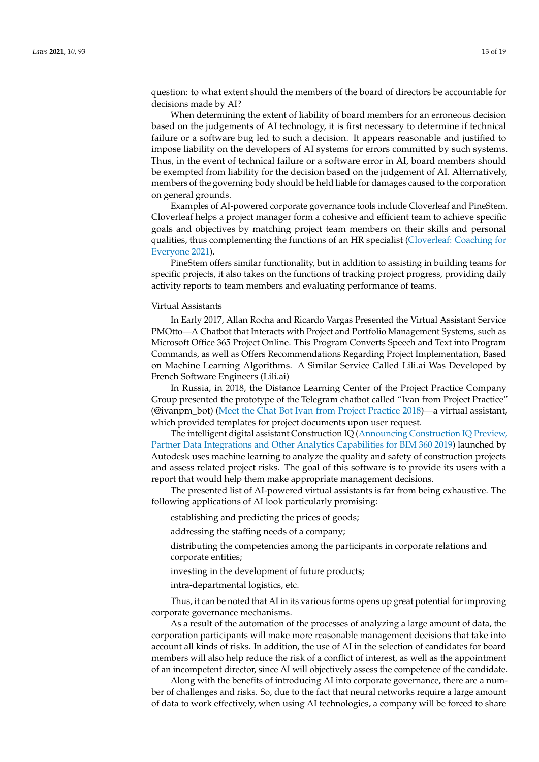question: to what extent should the members of the board of directors be accountable for decisions made by AI?

When determining the extent of liability of board members for an erroneous decision based on the judgements of AI technology, it is first necessary to determine if technical failure or a software bug led to such a decision. It appears reasonable and justified to impose liability on the developers of AI systems for errors committed by such systems. Thus, in the event of technical failure or a software error in AI, board members should be exempted from liability for the decision based on the judgement of AI. Alternatively, members of the governing body should be held liable for damages caused to the corporation on general grounds.

Examples of AI-powered corporate governance tools include Cloverleaf and PineStem. Cloverleaf helps a project manager form a cohesive and efficient team to achieve specific goals and objectives by matching project team members on their skills and personal qualities, thus complementing the functions of an HR specialist [\(Cloverleaf: Coaching for](#page-17-27) [Everyone](#page-17-27) [2021\)](#page-17-27).

PineStem offers similar functionality, but in addition to assisting in building teams for specific projects, it also takes on the functions of tracking project progress, providing daily activity reports to team members and evaluating performance of teams.

#### Virtual Assistants

In Early 2017, Allan Rocha and Ricardo Vargas Presented the Virtual Assistant Service PMOtto—A Chatbot that Interacts with Project and Portfolio Management Systems, such as Microsoft Office 365 Project Online. This Program Converts Speech and Text into Program Commands, as well as Offers Recommendations Regarding Project Implementation, Based on Machine Learning Algorithms. A Similar Service Called Lili.ai Was Developed by French Software Engineers (Lili.ai)

In Russia, in 2018, the Distance Learning Center of the Project Practice Company Group presented the prototype of the Telegram chatbot called "Ivan from Project Practice" (@ivanpm\_bot) [\(Meet the Chat Bot Ivan from Project Practice](#page-18-25) [2018\)](#page-18-25)—a virtual assistant, which provided templates for project documents upon user request.

The intelligent digital assistant Construction IQ [\(Announcing Construction IQ Preview,](#page-16-18) [Partner Data Integrations and Other Analytics Capabilities for BIM 360](#page-16-18) [2019\)](#page-16-18) launched by Autodesk uses machine learning to analyze the quality and safety of construction projects and assess related project risks. The goal of this software is to provide its users with a report that would help them make appropriate management decisions.

The presented list of AI-powered virtual assistants is far from being exhaustive. The following applications of AI look particularly promising:

establishing and predicting the prices of goods;

addressing the staffing needs of a company;

distributing the competencies among the participants in corporate relations and corporate entities;

investing in the development of future products;

intra-departmental logistics, etc.

Thus, it can be noted that AI in its various forms opens up great potential for improving corporate governance mechanisms.

As a result of the automation of the processes of analyzing a large amount of data, the corporation participants will make more reasonable management decisions that take into account all kinds of risks. In addition, the use of AI in the selection of candidates for board members will also help reduce the risk of a conflict of interest, as well as the appointment of an incompetent director, since AI will objectively assess the competence of the candidate.

Along with the benefits of introducing AI into corporate governance, there are a number of challenges and risks. So, due to the fact that neural networks require a large amount of data to work effectively, when using AI technologies, a company will be forced to share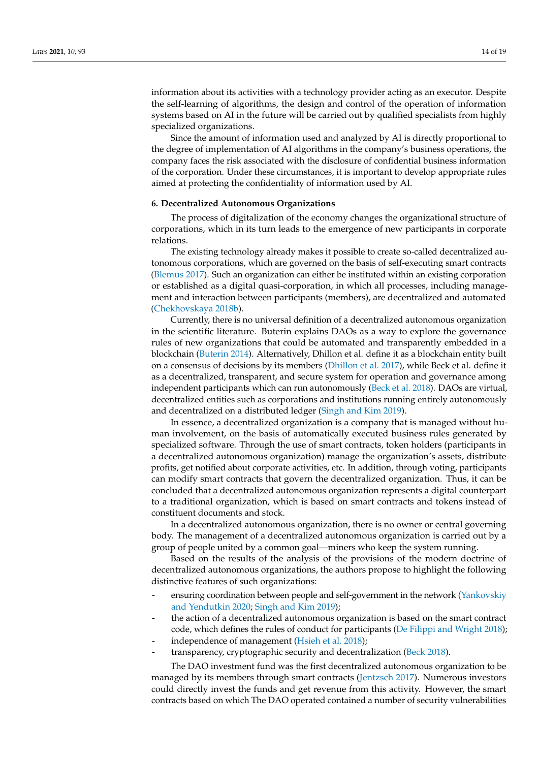information about its activities with a technology provider acting as an executor. Despite the self-learning of algorithms, the design and control of the operation of information systems based on AI in the future will be carried out by qualified specialists from highly specialized organizations.

Since the amount of information used and analyzed by AI is directly proportional to the degree of implementation of AI algorithms in the company's business operations, the company faces the risk associated with the disclosure of confidential business information of the corporation. Under these circumstances, it is important to develop appropriate rules aimed at protecting the confidentiality of information used by AI.

### <span id="page-13-0"></span>**6. Decentralized Autonomous Organizations**

The process of digitalization of the economy changes the organizational structure of corporations, which in its turn leads to the emergence of new participants in corporate relations.

The existing technology already makes it possible to create so-called decentralized autonomous corporations, which are governed on the basis of self-executing smart contracts [\(Blemus](#page-16-6) [2017\)](#page-16-6). Such an organization can either be instituted within an existing corporation or established as a digital quasi-corporation, in which all processes, including management and interaction between participants (members), are decentralized and automated [\(Chekhovskaya](#page-16-9) [2018b\)](#page-16-9).

Currently, there is no universal definition of a decentralized autonomous organization in the scientific literature. Buterin explains DAOs as a way to explore the governance rules of new organizations that could be automated and transparently embedded in a blockchain [\(Buterin](#page-16-7) [2014\)](#page-16-7). Alternatively, Dhillon et al. define it as a blockchain entity built on a consensus of decisions by its members [\(Dhillon et al.](#page-17-9) [2017\)](#page-17-9), while Beck et al. define it as a decentralized, transparent, and secure system for operation and governance among independent participants which can run autonomously [\(Beck et al.](#page-16-19) [2018\)](#page-16-19). DAOs are virtual, decentralized entities such as corporations and institutions running entirely autonomously and decentralized on a distributed ledger [\(Singh and Kim](#page-18-10) [2019\)](#page-18-10).

In essence, a decentralized organization is a company that is managed without human involvement, on the basis of automatically executed business rules generated by specialized software. Through the use of smart contracts, token holders (participants in a decentralized autonomous organization) manage the organization's assets, distribute profits, get notified about corporate activities, etc. In addition, through voting, participants can modify smart contracts that govern the decentralized organization. Thus, it can be concluded that a decentralized autonomous organization represents a digital counterpart to a traditional organization, which is based on smart contracts and tokens instead of constituent documents and stock.

In a decentralized autonomous organization, there is no owner or central governing body. The management of a decentralized autonomous organization is carried out by a group of people united by a common goal—miners who keep the system running.

Based on the results of the analysis of the provisions of the modern doctrine of decentralized autonomous organizations, the authors propose to highlight the following distinctive features of such organizations:

- ensuring coordination between people and self-government in the network [\(Yankovskiy](#page-18-3) [and Yendutkin](#page-18-3) [2020;](#page-18-3) [Singh and Kim](#page-18-10) [2019\)](#page-18-10);
- the action of a decentralized autonomous organization is based on the smart contract code, which defines the rules of conduct for participants [\(De Filippi and Wright](#page-16-8) [2018\)](#page-16-8);
- independence of management [\(Hsieh et al.](#page-17-14) [2018\)](#page-17-14);
- transparency, cryptographic security and decentralization [\(Beck](#page-16-5) [2018\)](#page-16-5).

The DAO investment fund was the first decentralized autonomous organization to be managed by its members through smart contracts [\(Jentzsch](#page-17-16) [2017\)](#page-17-16). Numerous investors could directly invest the funds and get revenue from this activity. However, the smart contracts based on which The DAO operated contained a number of security vulnerabilities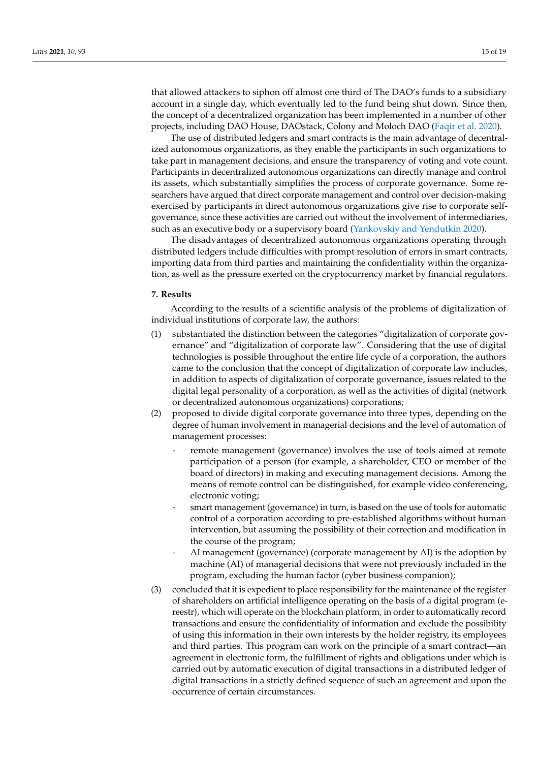that allowed attackers to siphon off almost one third of The DAO's funds to a subsidiary account in a single day, which eventually led to the fund being shut down. Since then, the concept of a decentralized organization has been implemented in a number of other projects, including DAO House, DAOstack, Colony and Moloch DAO [\(Faqir et al.](#page-17-15) [2020\)](#page-17-15).

The use of distributed ledgers and smart contracts is the main advantage of decentralized autonomous organizations, as they enable the participants in such organizations to take part in management decisions, and ensure the transparency of voting and vote count. Participants in decentralized autonomous organizations can directly manage and control its assets, which substantially simplifies the process of corporate governance. Some researchers have argued that direct corporate management and control over decision-making exercised by participants in direct autonomous organizations give rise to corporate selfgovernance, since these activities are carried out without the involvement of intermediaries, such as an executive body or a supervisory board [\(Yankovskiy and Yendutkin](#page-18-3) [2020\)](#page-18-3).

The disadvantages of decentralized autonomous organizations operating through distributed ledgers include difficulties with prompt resolution of errors in smart contracts, importing data from third parties and maintaining the confidentiality within the organization, as well as the pressure exerted on the cryptocurrency market by financial regulators.

### **7. Results**

According to the results of a scientific analysis of the problems of digitalization of individual institutions of corporate law, the authors:

- (1) substantiated the distinction between the categories "digitalization of corporate governance" and "digitalization of corporate law". Considering that the use of digital technologies is possible throughout the entire life cycle of a corporation, the authors came to the conclusion that the concept of digitalization of corporate law includes, in addition to aspects of digitalization of corporate governance, issues related to the digital legal personality of a corporation, as well as the activities of digital (network or decentralized autonomous organizations) corporations;
- (2) proposed to divide digital corporate governance into three types, depending on the degree of human involvement in managerial decisions and the level of automation of management processes:
	- remote management (governance) involves the use of tools aimed at remote participation of a person (for example, a shareholder, CEO or member of the board of directors) in making and executing management decisions. Among the means of remote control can be distinguished, for example video conferencing, electronic voting;
	- smart management (governance) in turn, is based on the use of tools for automatic control of a corporation according to pre-established algorithms without human intervention, but assuming the possibility of their correction and modification in the course of the program;
	- AI management (governance) (corporate management by AI) is the adoption by machine (AI) of managerial decisions that were not previously included in the program, excluding the human factor (cyber business companion);
- (3) concluded that it is expedient to place responsibility for the maintenance of the register of shareholders on artificial intelligence operating on the basis of a digital program (ereestr), which will operate on the blockchain platform, in order to automatically record transactions and ensure the confidentiality of information and exclude the possibility of using this information in their own interests by the holder registry, its employees and third parties. This program can work on the principle of a smart contract—an agreement in electronic form, the fulfillment of rights and obligations under which is carried out by automatic execution of digital transactions in a distributed ledger of digital transactions in a strictly defined sequence of such an agreement and upon the occurrence of certain circumstances.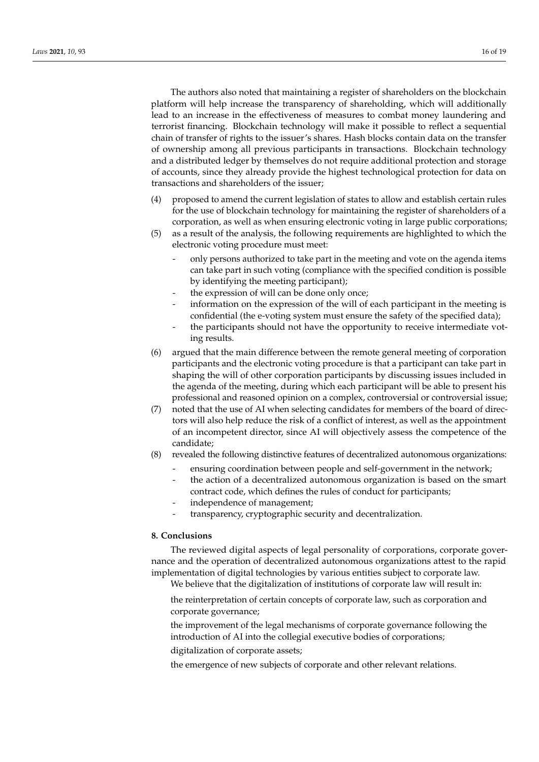The authors also noted that maintaining a register of shareholders on the blockchain platform will help increase the transparency of shareholding, which will additionally lead to an increase in the effectiveness of measures to combat money laundering and terrorist financing. Blockchain technology will make it possible to reflect a sequential chain of transfer of rights to the issuer's shares. Hash blocks contain data on the transfer of ownership among all previous participants in transactions. Blockchain technology and a distributed ledger by themselves do not require additional protection and storage of accounts, since they already provide the highest technological protection for data on transactions and shareholders of the issuer;

- (4) proposed to amend the current legislation of states to allow and establish certain rules for the use of blockchain technology for maintaining the register of shareholders of a corporation, as well as when ensuring electronic voting in large public corporations;
- (5) as a result of the analysis, the following requirements are highlighted to which the electronic voting procedure must meet:
	- only persons authorized to take part in the meeting and vote on the agenda items can take part in such voting (compliance with the specified condition is possible by identifying the meeting participant);
	- the expression of will can be done only once;
	- information on the expression of the will of each participant in the meeting is confidential (the e-voting system must ensure the safety of the specified data);
	- the participants should not have the opportunity to receive intermediate voting results.
- (6) argued that the main difference between the remote general meeting of corporation participants and the electronic voting procedure is that a participant can take part in shaping the will of other corporation participants by discussing issues included in the agenda of the meeting, during which each participant will be able to present his professional and reasoned opinion on a complex, controversial or controversial issue;
- (7) noted that the use of AI when selecting candidates for members of the board of directors will also help reduce the risk of a conflict of interest, as well as the appointment of an incompetent director, since AI will objectively assess the competence of the candidate;
- (8) revealed the following distinctive features of decentralized autonomous organizations:
	- ensuring coordination between people and self-government in the network;
	- the action of a decentralized autonomous organization is based on the smart contract code, which defines the rules of conduct for participants;
	- independence of management;
	- transparency, cryptographic security and decentralization.

## **8. Conclusions**

The reviewed digital aspects of legal personality of corporations, corporate governance and the operation of decentralized autonomous organizations attest to the rapid implementation of digital technologies by various entities subject to corporate law. We believe that the digitalization of institutions of corporate law will result in:

the reinterpretation of certain concepts of corporate law, such as corporation and corporate governance;

the improvement of the legal mechanisms of corporate governance following the introduction of AI into the collegial executive bodies of corporations;

digitalization of corporate assets;

the emergence of new subjects of corporate and other relevant relations.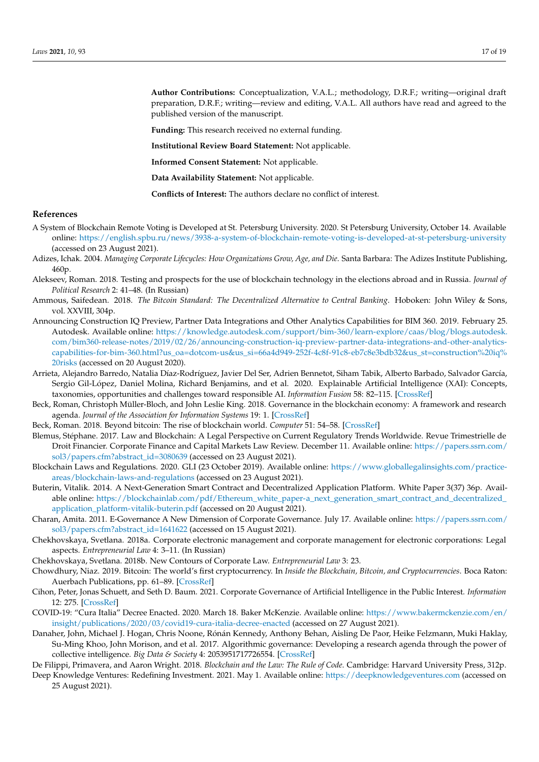**Author Contributions:** Conceptualization, V.A.L.; methodology, D.R.F.; writing—original draft preparation, D.R.F.; writing—review and editing, V.A.L. All authors have read and agreed to the published version of the manuscript.

**Funding:** This research received no external funding.

**Institutional Review Board Statement:** Not applicable.

**Informed Consent Statement:** Not applicable.

**Data Availability Statement:** Not applicable.

**Conflicts of Interest:** The authors declare no conflict of interest.

# **References**

- <span id="page-16-12"></span>A System of Blockchain Remote Voting is Developed at St. Petersburg University. 2020. St Petersburg University, October 14. Available online: <https://english.spbu.ru/news/3938-a-system-of-blockchain-remote-voting-is-developed-at-st-petersburg-university> (accessed on 23 August 2021).
- <span id="page-16-1"></span>Adizes, Ichak. 2004. *Managing Corporate Lifecycles: How Organizations Grow, Age, and Die*. Santa Barbara: The Adizes Institute Publishing, 460p.
- <span id="page-16-3"></span>Alekseev, Roman. 2018. Testing and prospects for the use of blockchain technology in the elections abroad and in Russia. *Journal of Political Research* 2: 41–48. (In Russian)
- <span id="page-16-10"></span>Ammous, Saifedean. 2018. *The Bitcoin Standard: The Decentralized Alternative to Central Banking*. Hoboken: John Wiley & Sons, vol. XXVIII, 304p.
- <span id="page-16-18"></span>Announcing Construction IQ Preview, Partner Data Integrations and Other Analytics Capabilities for BIM 360. 2019. February 25. Autodesk. Available online: [https://knowledge.autodesk.com/support/bim-360/learn-explore/caas/blog/blogs.autodesk.](https://knowledge.autodesk.com/support/bim-360/learn-explore/caas/blog/blogs.autodesk.com/bim360-release-notes/2019/02/26/announcing-construction-iq-preview-partner-data-integrations-and-other-analytics-capabilities-for-bim-360.html?us_oa=dotcom-us&us_si=66a4d949-252f-4c8f-91c8-eb7c8e3bdb32&us_st=construction%20iq%20risks) [com/bim360-release-notes/2019/02/26/announcing-construction-iq-preview-partner-data-integrations-and-other-analytics](https://knowledge.autodesk.com/support/bim-360/learn-explore/caas/blog/blogs.autodesk.com/bim360-release-notes/2019/02/26/announcing-construction-iq-preview-partner-data-integrations-and-other-analytics-capabilities-for-bim-360.html?us_oa=dotcom-us&us_si=66a4d949-252f-4c8f-91c8-eb7c8e3bdb32&us_st=construction%20iq%20risks)[capabilities-for-bim-360.html?us\\_oa=dotcom-us&us\\_si=66a4d949-252f-4c8f-91c8-eb7c8e3bdb32&us\\_st=construction%20iq%](https://knowledge.autodesk.com/support/bim-360/learn-explore/caas/blog/blogs.autodesk.com/bim360-release-notes/2019/02/26/announcing-construction-iq-preview-partner-data-integrations-and-other-analytics-capabilities-for-bim-360.html?us_oa=dotcom-us&us_si=66a4d949-252f-4c8f-91c8-eb7c8e3bdb32&us_st=construction%20iq%20risks) [20risks](https://knowledge.autodesk.com/support/bim-360/learn-explore/caas/blog/blogs.autodesk.com/bim360-release-notes/2019/02/26/announcing-construction-iq-preview-partner-data-integrations-and-other-analytics-capabilities-for-bim-360.html?us_oa=dotcom-us&us_si=66a4d949-252f-4c8f-91c8-eb7c8e3bdb32&us_st=construction%20iq%20risks) (accessed on 20 August 2020).
- <span id="page-16-15"></span>Arrieta, Alejandro Barredo, Natalia Díaz-Rodríguez, Javier Del Ser, Adrien Bennetot, Siham Tabik, Alberto Barbado, Salvador García, Sergio Gil-López, Daniel Molina, Richard Benjamins, and et al. 2020. Explainable Artificial Intelligence (XAI): Concepts, taxonomies, opportunities and challenges toward responsible AI. *Information Fusion* 58: 82–115. [\[CrossRef\]](http://doi.org/10.1016/j.inffus.2019.12.012)
- <span id="page-16-19"></span>Beck, Roman, Christoph Müller-Bloch, and John Leslie King. 2018. Governance in the blockchain economy: A framework and research agenda. *Journal of the Association for Information Systems* 19: 1. [\[CrossRef\]](http://doi.org/10.17705/1jais.00518)
- <span id="page-16-5"></span>Beck, Roman. 2018. Beyond bitcoin: The rise of blockchain world. *Computer* 51: 54–58. [\[CrossRef\]](http://doi.org/10.1109/MC.2018.1451660)
- <span id="page-16-6"></span>Blemus, Stéphane. 2017. Law and Blockchain: A Legal Perspective on Current Regulatory Trends Worldwide. Revue Trimestrielle de Droit Financier. Corporate Finance and Capital Markets Law Review. December 11. Available online: [https://papers.ssrn.com/](https://papers.ssrn.com/sol3/papers.cfm?abstract_id=3080639) [sol3/papers.cfm?abstract\\_id=3080639](https://papers.ssrn.com/sol3/papers.cfm?abstract_id=3080639) (accessed on 23 August 2021).
- <span id="page-16-13"></span>Blockchain Laws and Regulations. 2020. GLI (23 October 2019). Available online: [https://www.globallegalinsights.com/practice](https://www.globallegalinsights.com/practice-areas/blockchain-laws-and-regulations)[areas/blockchain-laws-and-regulations](https://www.globallegalinsights.com/practice-areas/blockchain-laws-and-regulations) (accessed on 23 August 2021).
- <span id="page-16-7"></span>Buterin, Vitalik. 2014. A Next-Generation Smart Contract and Decentralized Application Platform. White Paper 3(37) 36p. Available online: [https://blockchainlab.com/pdf/Ethereum\\_white\\_paper-a\\_next\\_generation\\_smart\\_contract\\_and\\_decentralized\\_](https://blockchainlab.com/pdf/Ethereum_white_paper-a_next_generation_smart_contract_and_decentralized_application_platform-vitalik-buterin.pdf) [application\\_platform-vitalik-buterin.pdf](https://blockchainlab.com/pdf/Ethereum_white_paper-a_next_generation_smart_contract_and_decentralized_application_platform-vitalik-buterin.pdf) (accessed on 20 August 2021).
- <span id="page-16-0"></span>Charan, Amita. 2011. E-Governance A New Dimension of Corporate Governance. July 17. Available online: [https://papers.ssrn.com/](https://papers.ssrn.com/sol3/papers.cfm?abstract_id=1641622) [sol3/papers.cfm?abstract\\_id=1641622](https://papers.ssrn.com/sol3/papers.cfm?abstract_id=1641622) (accessed on 15 August 2021).
- <span id="page-16-2"></span>Chekhovskaya, Svetlana. 2018a. Corporate electronic management and corporate management for electronic corporations: Legal aspects. *Entrepreneurial Law* 4: 3–11. (In Russian)
- <span id="page-16-9"></span>Chekhovskaya, Svetlana. 2018b. New Contours of Corporate Law. *Entrepreneurial Law* 3: 23.
- <span id="page-16-11"></span>Chowdhury, Niaz. 2019. Bitcoin: The world's first cryptocurrency. In *Inside the Blockchain, Bitcoin, and Cryptocurrencies*. Boca Raton: Auerbach Publications, pp. 61–89. [\[CrossRef\]](http://doi.org/10.1201/9780429325533-4)
- <span id="page-16-4"></span>Cihon, Peter, Jonas Schuett, and Seth D. Baum. 2021. Corporate Governance of Artificial Intelligence in the Public Interest. *Information* 12: 275. [\[CrossRef\]](http://doi.org/10.3390/info12070275)
- <span id="page-16-14"></span>COVID-19: "Cura Italia" Decree Enacted. 2020. March 18. Baker McKenzie. Available online: [https://www.bakermckenzie.com/en/](https://www.bakermckenzie.com/en/insight/publications/2020/03/covid19-cura-italia-decree-enacted) [insight/publications/2020/03/covid19-cura-italia-decree-enacted](https://www.bakermckenzie.com/en/insight/publications/2020/03/covid19-cura-italia-decree-enacted) (accessed on 27 August 2021).
- <span id="page-16-16"></span>Danaher, John, Michael J. Hogan, Chris Noone, Rónán Kennedy, Anthony Behan, Aisling De Paor, Heike Felzmann, Muki Haklay, Su-Ming Khoo, John Morison, and et al. 2017. Algorithmic governance: Developing a research agenda through the power of collective intelligence. *Big Data & Society* 4: 2053951717726554. [\[CrossRef\]](http://doi.org/10.1177/2053951717726554)
- <span id="page-16-17"></span><span id="page-16-8"></span>De Filippi, Primavera, and Aaron Wright. 2018. *Blockchain and the Law: The Rule of Code*. Cambridge: Harvard University Press, 312p. Deep Knowledge Ventures: Redefining Investment. 2021. May 1. Available online: <https://deepknowledgeventures.com> (accessed on

25 August 2021).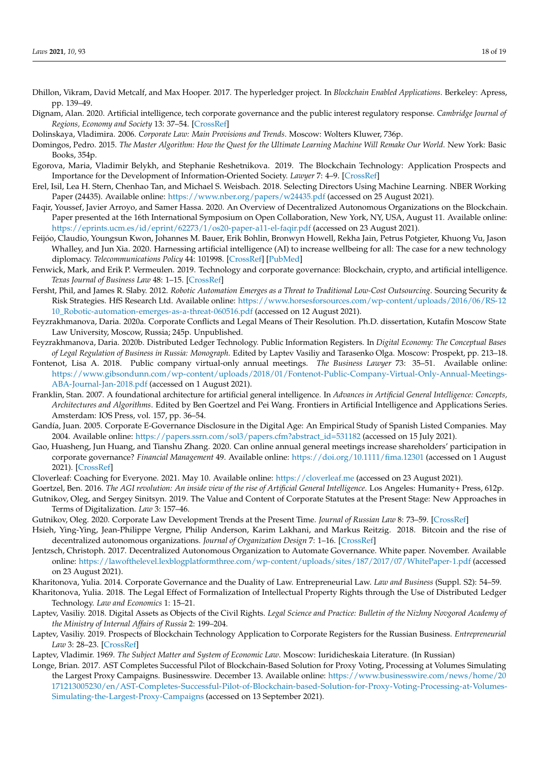- <span id="page-17-9"></span>Dhillon, Vikram, David Metcalf, and Max Hooper. 2017. The hyperledger project. In *Blockchain Enabled Applications*. Berkeley: Apress, pp. 139–49.
- <span id="page-17-7"></span>Dignam, Alan. 2020. Artificial intelligence, tech corporate governance and the public interest regulatory response. *Cambridge Journal of Regions, Economy and Society* 13: 37–54. [\[CrossRef\]](http://doi.org/10.1093/cjres/rsaa002)
- <span id="page-17-18"></span>Dolinskaya, Vladimira. 2006. *Corporate Law: Main Provisions and Trends*. Moscow: Wolters Kluwer, 736p.
- <span id="page-17-10"></span>Domingos, Pedro. 2015. *The Master Algorithm: How the Quest for the Ultimate Learning Machine Will Remake Our World*. New York: Basic Books, 354p.
- <span id="page-17-5"></span>Egorova, Maria, Vladimir Belykh, and Stephanie Reshetnikova. 2019. The Blockchain Technology: Application Prospects and Importance for the Development of Information-Oriented Society. *Lawyer* 7: 4–9. [\[CrossRef\]](http://doi.org/10.18572/1812-3929-2019-7-4-9)
- <span id="page-17-8"></span>Erel, Isil, Lea H. Stern, Chenhao Tan, and Michael S. Weisbach. 2018. Selecting Directors Using Machine Learning. NBER Working Paper (24435). Available online: <https://www.nber.org/papers/w24435.pdf> (accessed on 25 August 2021).
- <span id="page-17-15"></span>Faqir, Youssef, Javier Arroyo, and Samer Hassa. 2020. An Overview of Decentralized Autonomous Organizations on the Blockchain. Paper presented at the 16th International Symposium on Open Collaboration, New York, NY, USA, August 11. Available online: <https://eprints.ucm.es/id/eprint/62273/1/os20-paper-a11-el-faqir.pdf> (accessed on 23 August 2021).
- <span id="page-17-11"></span>Feijóo, Claudio, Youngsun Kwon, Johannes M. Bauer, Erik Bohlin, Bronwyn Howell, Rekha Jain, Petrus Potgieter, Khuong Vu, Jason Whalley, and Jun Xia. 2020. Harnessing artificial intelligence (AI) to increase wellbeing for all: The case for a new technology diplomacy. *Telecommunications Policy* 44: 101998. [\[CrossRef\]](http://doi.org/10.1016/j.telpol.2020.101988) [\[PubMed\]](http://www.ncbi.nlm.nih.gov/pubmed/32377031)
- <span id="page-17-2"></span>Fenwick, Mark, and Erik P. Vermeulen. 2019. Technology and corporate governance: Blockchain, crypto, and artificial intelligence. *Texas Journal of Business Law* 48: 1–15. [\[CrossRef\]](http://doi.org/10.2139/ssrn.3263222)
- <span id="page-17-12"></span>Fersht, Phil, and James R. Slaby. 2012. *Robotic Automation Emerges as a Threat to Traditional Low-Cost Outsourcing*. Sourcing Security & Risk Strategies. HfS Research Ltd. Available online: [https://www.horsesforsources.com/wp-content/uploads/2016/06/RS-12](https://www.horsesforsources.com/wp-content/uploads/2016/06/RS-1210_Robotic-automation-emerges-as-a-threat-060516.pdf) [10\\_Robotic-automation-emerges-as-a-threat-060516.pdf](https://www.horsesforsources.com/wp-content/uploads/2016/06/RS-1210_Robotic-automation-emerges-as-a-threat-060516.pdf) (accessed on 12 August 2021).
- <span id="page-17-20"></span>Feyzrakhmanova, Daria. 2020a. Corporate Conflicts and Legal Means of Their Resolution. Ph.D. dissertation, Kutafin Moscow State Law University, Moscow, Russia; 245p. Unpublished.
- <span id="page-17-21"></span>Feyzrakhmanova, Daria. 2020b. Distributed Ledger Technology. Public Information Registers. In *Digital Economy: The Conceptual Bases of Legal Regulation of Business in Russia: Monograph*. Edited by Laptev Vasiliy and Tarasenko Olga. Moscow: Prospekt, pp. 213–18.
- <span id="page-17-25"></span>Fontenot, Lisa A. 2018. Public company virtual-only annual meetings. *The Business Lawyer* 73: 35–51. Available online: [https://www.gibsondunn.com/wp-content/uploads/2018/01/Fontenot-Public-Company-Virtual-Only-Annual-Meetings-](https://www.gibsondunn.com/wp-content/uploads/2018/01/Fontenot-Public-Company-Virtual-Only-Annual-Meetings-ABA-Journal-Jan-2018.pdf)[ABA-Journal-Jan-2018.pdf](https://www.gibsondunn.com/wp-content/uploads/2018/01/Fontenot-Public-Company-Virtual-Only-Annual-Meetings-ABA-Journal-Jan-2018.pdf) (accessed on 1 August 2021).
- <span id="page-17-26"></span>Franklin, Stan. 2007. A foundational architecture for artificial general intelligence. In *Advances in Artificial General Intelligence: Concepts, Architectures and Algorithms*. Edited by Ben Goertzel and Pei Wang. Frontiers in Artificial Intelligence and Applications Series. Amsterdam: IOS Press, vol. 157, pp. 36–54.
- <span id="page-17-3"></span>Gandía, Juan. 2005. Corporate E-Governance Disclosure in the Digital Age: An Empirical Study of Spanish Listed Companies. May 2004. Available online: [https://papers.ssrn.com/sol3/papers.cfm?abstract\\_id=531182](https://papers.ssrn.com/sol3/papers.cfm?abstract_id=531182) (accessed on 15 July 2021).
- <span id="page-17-4"></span>Gao, Huasheng, Jun Huang, and Tianshu Zhang. 2020. Can online annual general meetings increase shareholders' participation in corporate governance? *Financial Management* 49. Available online: <https://doi.org/10.1111/fima.12301> (accessed on 1 August 2021). [\[CrossRef\]](http://doi.org/10.1111/fima.12301)
- <span id="page-17-27"></span>Cloverleaf: Coaching for Everyone. 2021. May 10. Available online: <https://cloverleaf.me> (accessed on 23 August 2021).
- <span id="page-17-13"></span><span id="page-17-0"></span>Goertzel, Ben. 2016. *The AGI revolution: An inside view of the rise of Artificial General Intelligence*. Los Angeles: Humanity+ Press, 612p. Gutnikov, Oleg, and Sergey Sinitsyn. 2019. The Value and Content of Corporate Statutes at the Present Stage: New Approaches in Terms of Digitalization. *Law* 3: 157–46.
- <span id="page-17-1"></span>Gutnikov, Oleg. 2020. Corporate Law Development Trends at the Present Time. *Journal of Russian Law* 8: 73–59. [\[CrossRef\]](http://doi.org/10.12737/jrl.2020.094)
- <span id="page-17-14"></span>Hsieh, Ying-Ying, Jean-Philippe Vergne, Philip Anderson, Karim Lakhani, and Markus Reitzig. 2018. Bitcoin and the rise of decentralized autonomous organizations. *Journal of Organization Design* 7: 1–16. [\[CrossRef\]](http://doi.org/10.1186/s41469-018-0038-1)
- <span id="page-17-16"></span>Jentzsch, Christoph. 2017. Decentralized Autonomous Organization to Automate Governance. White paper. November. Available online: <https://lawofthelevel.lexblogplatformthree.com/wp-content/uploads/sites/187/2017/07/WhitePaper-1.pdf> (accessed on 23 August 2021).
- <span id="page-17-19"></span>Kharitonova, Yulia. 2014. Corporate Governance and the Duality of Law. Entrepreneurial Law. *Law and Business* (Suppl. S2): 54–59.
- <span id="page-17-22"></span>Kharitonova, Yulia. 2018. The Legal Effect of Formalization of Intellectual Property Rights through the Use of Distributed Ledger Technology. *Law and Economics* 1: 15–21.
- <span id="page-17-23"></span>Laptev, Vasiliy. 2018. Digital Assets as Objects of the Civil Rights. *Legal Science and Practice: Bulletin of the Nizhny Novgorod Academy of the Ministry of Internal Affairs of Russia* 2: 199–204.
- <span id="page-17-6"></span>Laptev, Vasiliy. 2019. Prospects of Blockchain Technology Application to Corporate Registers for the Russian Business. *Entrepreneurial Law* 3: 28–23. [\[CrossRef\]](http://doi.org/10.18572/1999-4788-2019-3-23-28)
- <span id="page-17-17"></span>Laptev, Vladimir. 1969. *The Subject Matter and System of Economic Law*. Moscow: Iuridicheskaia Literature. (In Russian)
- <span id="page-17-24"></span>Longe, Brian. 2017. AST Completes Successful Pilot of Blockchain-Based Solution for Proxy Voting, Processing at Volumes Simulating the Largest Proxy Campaigns. Businesswire. December 13. Available online: [https://www.businesswire.com/news/home/20](https://www.businesswire.com/news/home/20171213005230/en/AST-Completes-Successful-Pilot-of-Blockchain-based-Solution-for-Proxy-Voting-Processing-at-Volumes-Simulating-the-Largest-Proxy-Campaigns) [171213005230/en/AST-Completes-Successful-Pilot-of-Blockchain-based-Solution-for-Proxy-Voting-Processing-at-Volumes-](https://www.businesswire.com/news/home/20171213005230/en/AST-Completes-Successful-Pilot-of-Blockchain-based-Solution-for-Proxy-Voting-Processing-at-Volumes-Simulating-the-Largest-Proxy-Campaigns)[Simulating-the-Largest-Proxy-Campaigns](https://www.businesswire.com/news/home/20171213005230/en/AST-Completes-Successful-Pilot-of-Blockchain-based-Solution-for-Proxy-Voting-Processing-at-Volumes-Simulating-the-Largest-Proxy-Campaigns) (accessed on 13 September 2021).